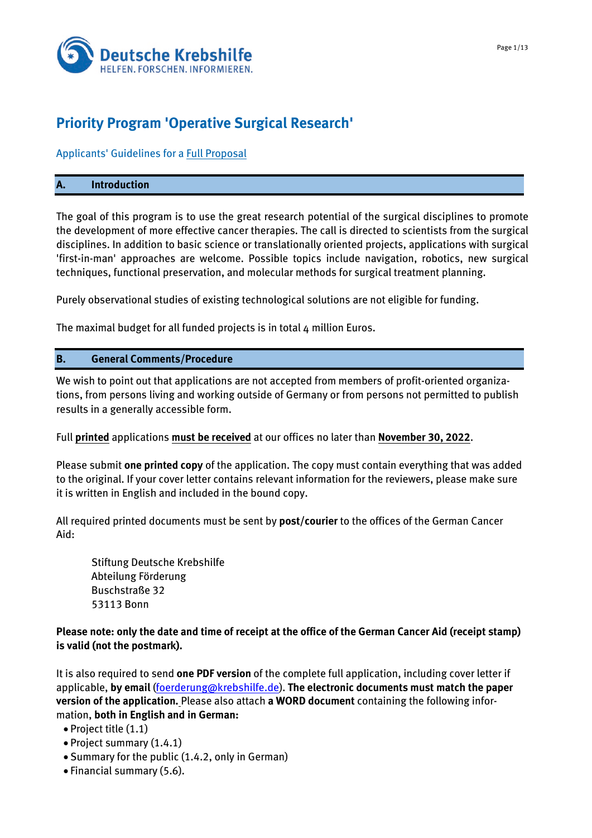

# **Priority Program 'Operative Surgical Research'**

# Applicants' Guidelines for a Full Proposal

#### **A. Introduction**

The goal of this program is to use the great research potential of the surgical disciplines to promote the development of more effective cancer therapies. The call is directed to scientists from the surgical disciplines. In addition to basic science or translationally oriented projects, applications with surgical 'first-in-man' approaches are welcome. Possible topics include navigation, robotics, new surgical techniques, functional preservation, and molecular methods for surgical treatment planning.

Purely observational studies of existing technological solutions are not eligible for funding.

The maximal budget for all funded projects is in total 4 million Euros.

# **B. General Comments/Procedure**

We wish to point out that applications are not accepted from members of profit-oriented organizations, from persons living and working outside of Germany or from persons not permitted to publish results in a generally accessible form.

Full **printed** applications **must be received** at our offices no later than **November 30, 2022**.

Please submit **one printed copy** of the application. The copy must contain everything that was added to the original. If your cover letter contains relevant information for the reviewers, please make sure it is written in English and included in the bound copy.

All required printed documents must be sent by **post/courier** to the offices of the German Cancer Aid:

Stiftung Deutsche Krebshilfe Abteilung Förderung Buschstraße 32 53113 Bonn

# **Please note: only the date and time of receipt at the office of the German Cancer Aid (receipt stamp) is valid (not the postmark).**

It is also required to send **one PDF version** of the complete full application, including cover letter if applicable, **by email** [\(foerderung@krebshilfe.de\)](mailto:foerderung@krebshilfe.de). **The electronic documents must match the paper version of the application.** Please also attach **a WORD document** containing the following information, **both in English and in German:** 

• Project title (1.1)

- Project summary (1.4.1)
- Summary for the public (1.4.2, only in German)
- Financial summary (5.6).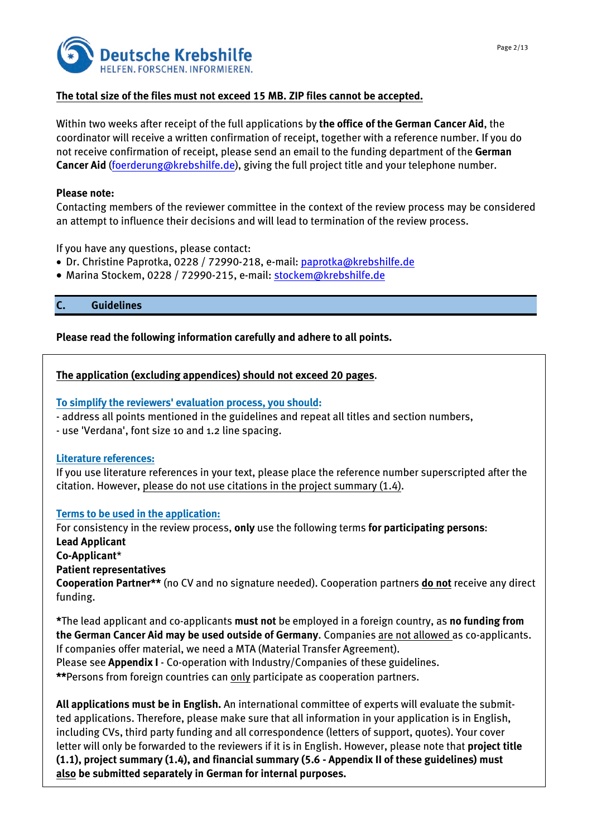

# **The total size of the files must not exceed 15 MB. ZIP files cannot be accepted.**

Within two weeks after receipt of the full applications by **the office of the German Cancer Aid**, the coordinator will receive a written confirmation of receipt, together with a reference number. If you do not receive confirmation of receipt, please send an email to the funding department of the **German Cancer Aid** [\(foerderung@krebshilfe.de\)](mailto:foerderung@krebshilfe.de), giving the full project title and your telephone number.

#### **Please note:**

Contacting members of the reviewer committee in the context of the review process may be considered an attempt to influence their decisions and will lead to termination of the review process.

If you have any questions, please contact:

- Dr. Christine Paprotka, 0228 / 72990-218, e-mail: [paprotka@krebshilfe.de](mailto:paprotka@krebshilfe.de)
- Marina Stockem, 0228 / 72990-215, e-mail: [stockem@krebshilfe.de](mailto:stockem@krebshilfe.de)

**C. Guidelines**

**Please read the following information carefully and adhere to all points.** 

#### **The application (excluding appendices) should not exceed 20 pages**.

**To simplify the reviewers' evaluation process, you should:** 

- address all points mentioned in the guidelines and repeat all titles and section numbers,

- use 'Verdana', font size 10 and 1.2 line spacing.

#### **Literature references:**

If you use literature references in your text, please place the reference number superscripted after the citation. However, please do not use citations in the project summary (1.4).

# **Terms to be used in the application:**

For consistency in the review process, **only** use the following terms **for participating persons**:

**Lead Applicant**

**Co-Applicant**\*

**Patient representatives**

**Cooperation Partner\*\*** (no CV and no signature needed). Cooperation partners **do not** receive any direct funding.

**\***The lead applicant and co-applicants **must not** be employed in a foreign country, as **no funding from the German Cancer Aid may be used outside of Germany**. Companies are not allowed as co-applicants. If companies offer material, we need a MTA (Material Transfer Agreement). Please see **Appendix I** - Co-operation with Industry/Companies of these guidelines.

\*\*Persons from foreign countries can only participate as cooperation partners.

**All applications must be in English.** An international committee of experts will evaluate the submitted applications. Therefore, please make sure that all information in your application is in English, including CVs, third party funding and all correspondence (letters of support, quotes). Your cover letter will only be forwarded to the reviewers if it is in English. However, please note that **project title (1.1), project summary (1.4), and financial summary (5.6 - Appendix II of these guidelines) must also be submitted separately in German for internal purposes.**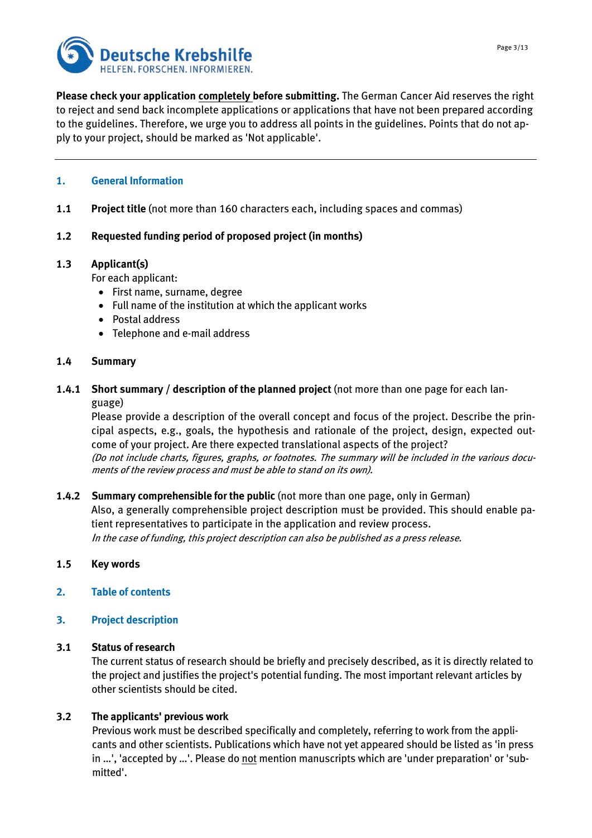



**Please check your application completely before submitting.** The German Cancer Aid reserves the right to reject and send back incomplete applications or applications that have not been prepared according to the guidelines. Therefore, we urge you to address all points in the guidelines. Points that do not apply to your project, should be marked as 'Not applicable'.

# **1. General Information**

**1.1 Project title** (not more than 160 characters each, including spaces and commas)

# **1.2 Requested funding period of proposed project (in months)**

# **1.3 Applicant(s)**

For each applicant:

- First name, surname, degree
- Full name of the institution at which the applicant works
- Postal address
- Telephone and e-mail address

# **1.4 Summary**

**1.4.1 Short summary / description of the planned project** (not more than one page for each language)

Please provide a description of the overall concept and focus of the project. Describe the principal aspects, e.g., goals, the hypothesis and rationale of the project, design, expected outcome of your project. Are there expected translational aspects of the project? (Do not include charts, figures, graphs, or footnotes. The summary will be included in the various documents of the review process and must be able to stand on its own).

**1.4.2 Summary comprehensible for the public** (not more than one page, only in German) Also, a generally comprehensible project description must be provided. This should enable patient representatives to participate in the application and review process. In the case of funding, this project description can also be published as a press release.

# **1.5 Key words**

- **2. Table of contents**
- **3. Project description**

# **3.1 Status of research**

The current status of research should be briefly and precisely described, as it is directly related to the project and justifies the project's potential funding. The most important relevant articles by other scientists should be cited.

# **3.2 The applicants' previous work**

Previous work must be described specifically and completely, referring to work from the applicants and other scientists. Publications which have not yet appeared should be listed as 'in press in …', 'accepted by …'. Please do not mention manuscripts which are 'under preparation' or 'submitted'.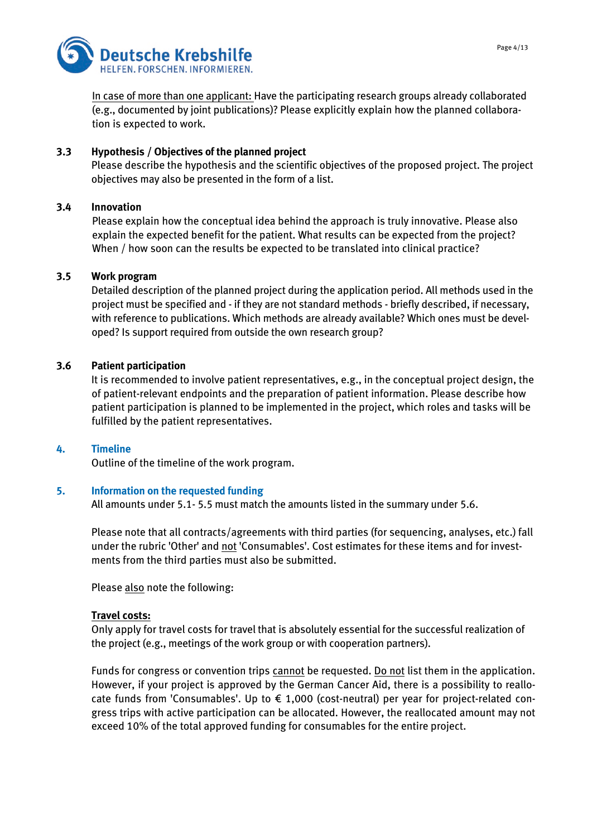

In case of more than one applicant: Have the participating research groups already collaborated (e.g., documented by joint publications)? Please explicitly explain how the planned collaboration is expected to work.

# **3.3 Hypothesis / Objectives of the planned project**

Please describe the hypothesis and the scientific objectives of the proposed project. The project objectives may also be presented in the form of a list.

# **3.4 Innovation**

Please explain how the conceptual idea behind the approach is truly innovative. Please also explain the expected benefit for the patient. What results can be expected from the project? When / how soon can the results be expected to be translated into clinical practice?

# **3.5 Work program**

Detailed description of the planned project during the application period. All methods used in the project must be specified and - if they are not standard methods - briefly described, if necessary, with reference to publications. Which methods are already available? Which ones must be developed? Is support required from outside the own research group?

# **3.6 Patient participation**

It is recommended to involve patient representatives, e.g., in the conceptual project design, the of patient-relevant endpoints and the preparation of patient information. Please describe how patient participation is planned to be implemented in the project, which roles and tasks will be fulfilled by the patient representatives.

# **4. Timeline**

Outline of the timeline of the work program.

# **5. Information on the requested funding**

All amounts under 5.1- 5.5 must match the amounts listed in the summary under 5.6.

Please note that all contracts/agreements with third parties (for sequencing, analyses, etc.) fall under the rubric 'Other' and not 'Consumables'. Cost estimates for these items and for investments from the third parties must also be submitted.

Please also note the following:

#### **Travel costs:**

Only apply for travel costs for travel that is absolutely essential for the successful realization of the project (e.g., meetings of the work group or with cooperation partners).

Funds for congress or convention trips cannot be requested. Do not list them in the application. However, if your project is approved by the German Cancer Aid, there is a possibility to reallocate funds from 'Consumables'. Up to  $\epsilon$  1,000 (cost-neutral) per year for project-related congress trips with active participation can be allocated. However, the reallocated amount may not exceed 10% of the total approved funding for consumables for the entire project.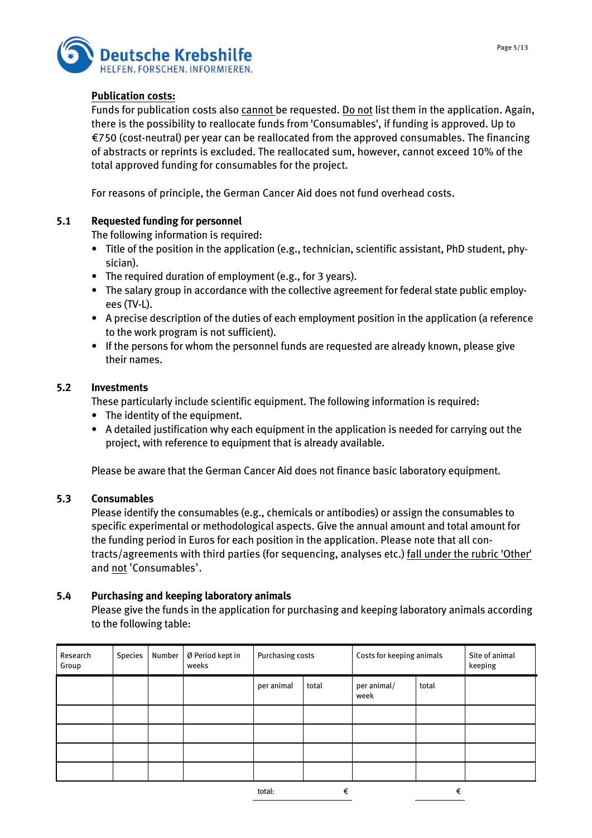

#### **Publication costs:**

Funds for publication costs also cannot be requested. Do not list them in the application. Again, there is the possibility to reallocate funds from 'Consumables', if funding is approved. Up to €750 (cost-neutral) per year can be reallocated from the approved consumables. The financing of abstracts or reprints is excluded. The reallocated sum, however, cannot exceed 10% of the total approved funding for consumables for the project.

For reasons of principle, the German Cancer Aid does not fund overhead costs.

#### **5.1 Requested funding for personnel**

The following information is required:

- Title of the position in the application (e.g., technician, scientific assistant, PhD student, physician).
- The required duration of employment (e.g., for 3 years).
- The salary group in accordance with the collective agreement for federal state public employees (TV-L).
- A precise description of the duties of each employment position in the application (a reference to the work program is not sufficient).
- If the persons for whom the personnel funds are requested are already known, please give their names.

#### **5.2 Investments**

These particularly include scientific equipment. The following information is required:

- The identity of the equipment.
- A detailed justification why each equipment in the application is needed for carrying out the project, with reference to equipment that is already available.

Please be aware that the German Cancer Aid does not finance basic laboratory equipment.

#### **5.3 Consumables**

Please identify the consumables (e.g., chemicals or antibodies) or assign the consumables to specific experimental or methodological aspects. Give the annual amount and total amount for the funding period in Euros for each position in the application. Please note that all contracts/agreements with third parties (for sequencing, analyses etc.) fall under the rubric 'Other' and not 'Consumables'.

#### **5.4 Purchasing and keeping laboratory animals**

Please give the funds in the application for purchasing and keeping laboratory animals according to the following table:

| Research<br>Group | Species | Number | Ø Period kept in<br>weeks | Purchasing costs |       | Costs for keeping animals |       | Site of animal<br>keeping |
|-------------------|---------|--------|---------------------------|------------------|-------|---------------------------|-------|---------------------------|
|                   |         |        |                           | per animal       | total | per animal/<br>week       | total |                           |
|                   |         |        |                           |                  |       |                           |       |                           |
|                   |         |        |                           |                  |       |                           |       |                           |
|                   |         |        |                           |                  |       |                           |       |                           |
|                   |         |        |                           |                  |       |                           |       |                           |
|                   |         |        |                           | total:           | €     |                           | €     |                           |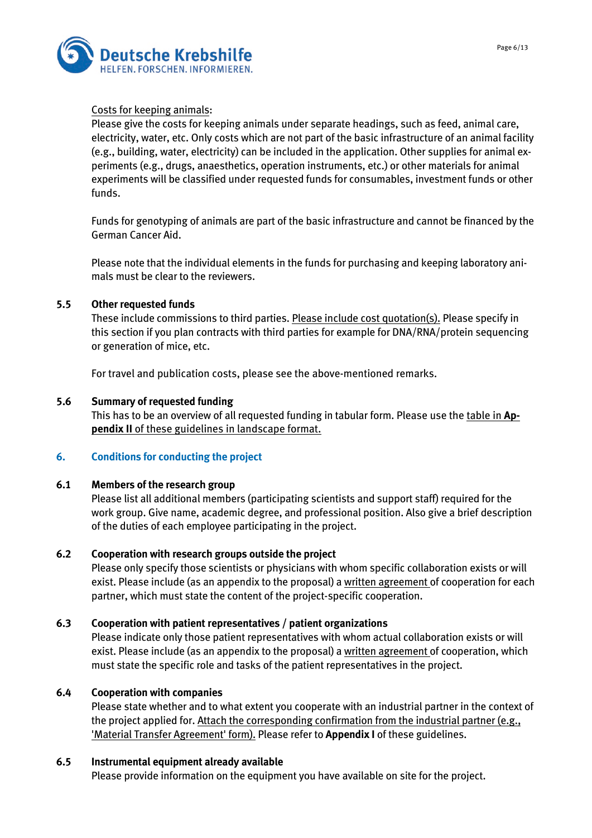



# Costs for keeping animals:

Please give the costs for keeping animals under separate headings, such as feed, animal care, electricity, water, etc. Only costs which are not part of the basic infrastructure of an animal facility (e.g., building, water, electricity) can be included in the application. Other supplies for animal experiments (e.g., drugs, anaesthetics, operation instruments, etc.) or other materials for animal experiments will be classified under requested funds for consumables, investment funds or other funds.

Funds for genotyping of animals are part of the basic infrastructure and cannot be financed by the German Cancer Aid.

Please note that the individual elements in the funds for purchasing and keeping laboratory animals must be clear to the reviewers.

# **5.5 Other requested funds**

These include commissions to third parties. Please include cost quotation(s). Please specify in this section if you plan contracts with third parties for example for DNA/RNA/protein sequencing or generation of mice, etc.

For travel and publication costs, please see the above-mentioned remarks.

#### **5.6 Summary of requested funding**

This has to be an overview of all requested funding in tabular form. Please use the table in **Appendix II** of these guidelines in landscape format.

# **6. Conditions for conducting the project**

#### **6.1 Members of the research group**

Please list all additional members (participating scientists and support staff) required for the work group. Give name, academic degree, and professional position. Also give a brief description of the duties of each employee participating in the project.

# **6.2 Cooperation with research groups outside the project**

Please only specify those scientists or physicians with whom specific collaboration exists or will exist. Please include (as an appendix to the proposal) a written agreement of cooperation for each partner, which must state the content of the project-specific cooperation.

# **6.3 Cooperation with patient representatives / patient organizations**

Please indicate only those patient representatives with whom actual collaboration exists or will exist. Please include (as an appendix to the proposal) a written agreement of cooperation, which must state the specific role and tasks of the patient representatives in the project.

# **6.4 Cooperation with companies**

Please state whether and to what extent you cooperate with an industrial partner in the context of the project applied for. Attach the corresponding confirmation from the industrial partner (e.g., 'Material Transfer Agreement' form). Please refer to **Appendix I** of these guidelines.

# **6.5 Instrumental equipment already available**

Please provide information on the equipment you have available on site for the project.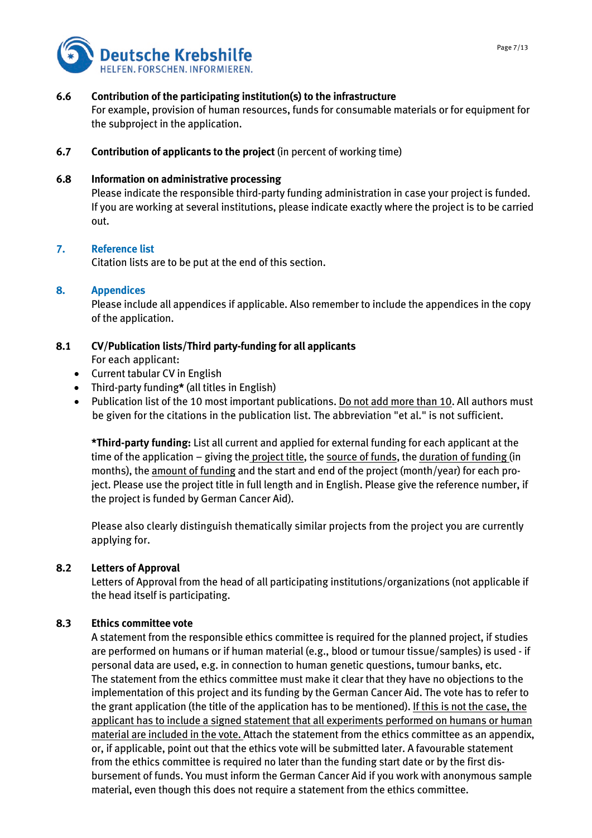

#### **6.6 Contribution of the participating institution(s) to the infrastructure**

For example, provision of human resources, funds for consumable materials or for equipment for the subproject in the application.

**6.7 Contribution of applicants to the project** (in percent of working time)

#### **6.8 Information on administrative processing**

Please indicate the responsible third-party funding administration in case your project is funded. If you are working at several institutions, please indicate exactly where the project is to be carried out.

#### **7. Reference list**

Citation lists are to be put at the end of this section.

#### **8. Appendices**

Please include all appendices if applicable. Also remember to include the appendices in the copy of the application.

#### **8.1 CV/Publication lists/Third party-funding for all applicants**  For each applicant:

- 
- Current tabular CV in English
- Third-party funding**\*** (all titles in English)
- Publication list of the 10 most important publications. Do not add more than 10. All authors must be given for the citations in the publication list. The abbreviation "et al." is not sufficient.

**\*Third-party funding:** List all current and applied for external funding for each applicant at the time of the application – giving the project title, the source of funds, the duration of funding (in months), the amount of funding and the start and end of the project (month/year) for each project. Please use the project title in full length and in English. Please give the reference number, if the project is funded by German Cancer Aid).

Please also clearly distinguish thematically similar projects from the project you are currently applying for.

#### **8.2 Letters of Approval**

Letters of Approval from the head of all participating institutions/organizations (not applicable if the head itself is participating.

#### **8.3 Ethics committee vote**

A statement from the responsible ethics committee is required for the planned project, if studies are performed on humans or if human material (e.g., blood or tumour tissue/samples) is used - if personal data are used, e.g. in connection to human genetic questions, tumour banks, etc. The statement from the ethics committee must make it clear that they have no objections to the implementation of this project and its funding by the German Cancer Aid. The vote has to refer to the grant application (the title of the application has to be mentioned). If this is not the case, the applicant has to include a signed statement that all experiments performed on humans or human material are included in the vote. Attach the statement from the ethics committee as an appendix, or, if applicable, point out that the ethics vote will be submitted later. A favourable statement from the ethics committee is required no later than the funding start date or by the first disbursement of funds. You must inform the German Cancer Aid if you work with anonymous sample material, even though this does not require a statement from the ethics committee.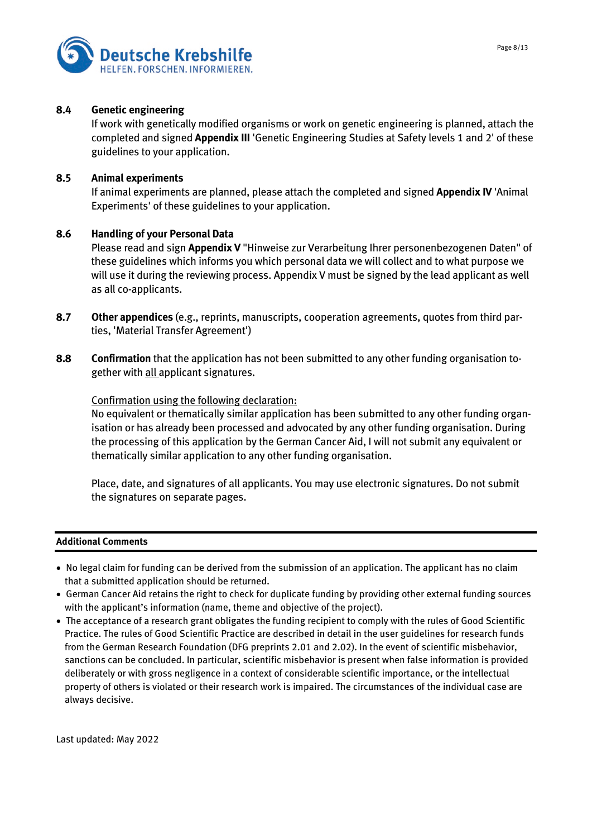



#### **8.4 Genetic engineering**

If work with genetically modified organisms or work on genetic engineering is planned, attach the completed and signed **Appendix III** 'Genetic Engineering Studies at Safety levels 1 and 2' of these guidelines to your application.

#### **8.5 Animal experiments**

If animal experiments are planned, please attach the completed and signed **Appendix IV** 'Animal Experiments' of these guidelines to your application.

#### **8.6 Handling of your Personal Data**

Please read and sign **Appendix V** "Hinweise zur Verarbeitung Ihrer personenbezogenen Daten" of these guidelines which informs you which personal data we will collect and to what purpose we will use it during the reviewing process. Appendix V must be signed by the lead applicant as well as all co-applicants.

- **8.7 Other appendices** (e.g., reprints, manuscripts, cooperation agreements, quotes from third parties, 'Material Transfer Agreement')
- **8.8 Confirmation** that the application has not been submitted to any other funding organisation together with all applicant signatures.

#### Confirmation using the following declaration:

No equivalent or thematically similar application has been submitted to any other funding organisation or has already been processed and advocated by any other funding organisation. During the processing of this application by the German Cancer Aid, I will not submit any equivalent or thematically similar application to any other funding organisation.

Place, date, and signatures of all applicants. You may use electronic signatures. Do not submit the signatures on separate pages.

#### **Additional Comments**

- No legal claim for funding can be derived from the submission of an application. The applicant has no claim that a submitted application should be returned.
- German Cancer Aid retains the right to check for duplicate funding by providing other external funding sources with the applicant's information (name, theme and objective of the project).
- The acceptance of a research grant obligates the funding recipient to comply with the rules of Good Scientific Practice. The rules of Good Scientific Practice are described in detail in the user guidelines for research funds from the German Research Foundation (DFG preprints 2.01 and 2.02). In the event of scientific misbehavior, sanctions can be concluded. In particular, scientific misbehavior is present when false information is provided deliberately or with gross negligence in a context of considerable scientific importance, or the intellectual property of others is violated or their research work is impaired. The circumstances of the individual case are always decisive.

Last updated: May 2022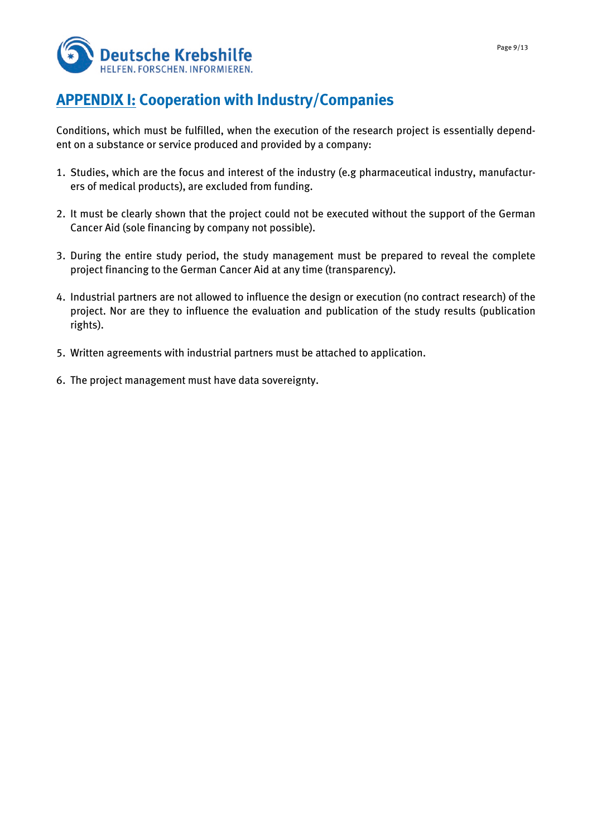

# **APPENDIX I: Cooperation with Industry/Companies**

Conditions, which must be fulfilled, when the execution of the research project is essentially dependent on a substance or service produced and provided by a company:

- 1. Studies, which are the focus and interest of the industry (e.g pharmaceutical industry, manufacturers of medical products), are excluded from funding.
- 2. It must be clearly shown that the project could not be executed without the support of the German Cancer Aid (sole financing by company not possible).
- 3. During the entire study period, the study management must be prepared to reveal the complete project financing to the German Cancer Aid at any time (transparency).
- 4. Industrial partners are not allowed to influence the design or execution (no contract research) of the project. Nor are they to influence the evaluation and publication of the study results (publication rights).
- 5. Written agreements with industrial partners must be attached to application.
- 6. The project management must have data sovereignty.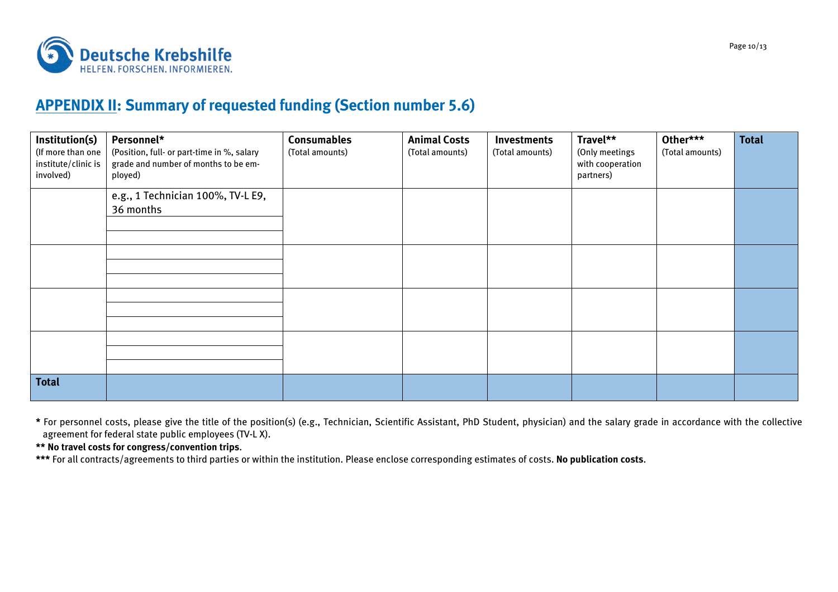

# **APPENDIX II: Summary of requested funding (Section number 5.6)**

| Institution(s)<br>(If more than one<br>institute/clinic is<br>involved) | Personnel*<br>(Position, full- or part-time in %, salary<br>grade and number of months to be em-<br>ployed) | <b>Consumables</b><br>(Total amounts) | <b>Animal Costs</b><br>(Total amounts) | <b>Investments</b><br>(Total amounts) | Travel**<br>(Only meetings<br>with cooperation<br>partners) | Other***<br>(Total amounts) | <b>Total</b> |
|-------------------------------------------------------------------------|-------------------------------------------------------------------------------------------------------------|---------------------------------------|----------------------------------------|---------------------------------------|-------------------------------------------------------------|-----------------------------|--------------|
|                                                                         | e.g., 1 Technician 100%, TV-L E9,<br>36 months                                                              |                                       |                                        |                                       |                                                             |                             |              |
|                                                                         |                                                                                                             |                                       |                                        |                                       |                                                             |                             |              |
|                                                                         |                                                                                                             |                                       |                                        |                                       |                                                             |                             |              |
|                                                                         |                                                                                                             |                                       |                                        |                                       |                                                             |                             |              |
| <b>Total</b>                                                            |                                                                                                             |                                       |                                        |                                       |                                                             |                             |              |

**\*** For personnel costs, please give the title of the position(s) (e.g., Technician, Scientific Assistant, PhD Student, physician) and the salary grade in accordance with the collective agreement for federal state public employees (TV-L X).

**\*\* No travel costs for congress/convention trips**.

**\*\*\*** For all contracts/agreements to third parties or within the institution. Please enclose corresponding estimates of costs. **No publication costs**.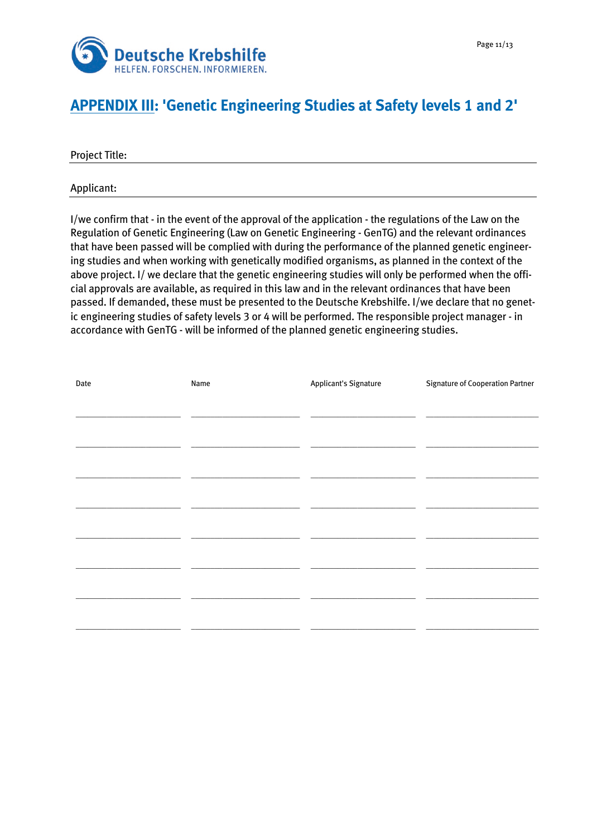

# **APPENDIX III: 'Genetic Engineering Studies at Safety levels 1 and 2'**

Project Title:

Applicant:

I/we confirm that - in the event of the approval of the application - the regulations of the Law on the Regulation of Genetic Engineering (Law on Genetic Engineering - GenTG) and the relevant ordinances that have been passed will be complied with during the performance of the planned genetic engineering studies and when working with genetically modified organisms, as planned in the context of the above project. I/ we declare that the genetic engineering studies will only be performed when the official approvals are available, as required in this law and in the relevant ordinances that have been passed. If demanded, these must be presented to the Deutsche Krebshilfe. I/we declare that no genetic engineering studies of safety levels 3 or 4 will be performed. The responsible project manager - in accordance with GenTG - will be informed of the planned genetic engineering studies.

| Date | Name | <b>Applicant's Signature</b> | <b>Signature of Cooperation Partner</b> |
|------|------|------------------------------|-----------------------------------------|
|      |      |                              |                                         |
|      |      |                              |                                         |
|      |      |                              |                                         |
|      |      |                              |                                         |
|      |      |                              |                                         |
|      |      |                              |                                         |
|      |      |                              |                                         |
|      |      |                              |                                         |
|      |      |                              |                                         |
|      |      |                              |                                         |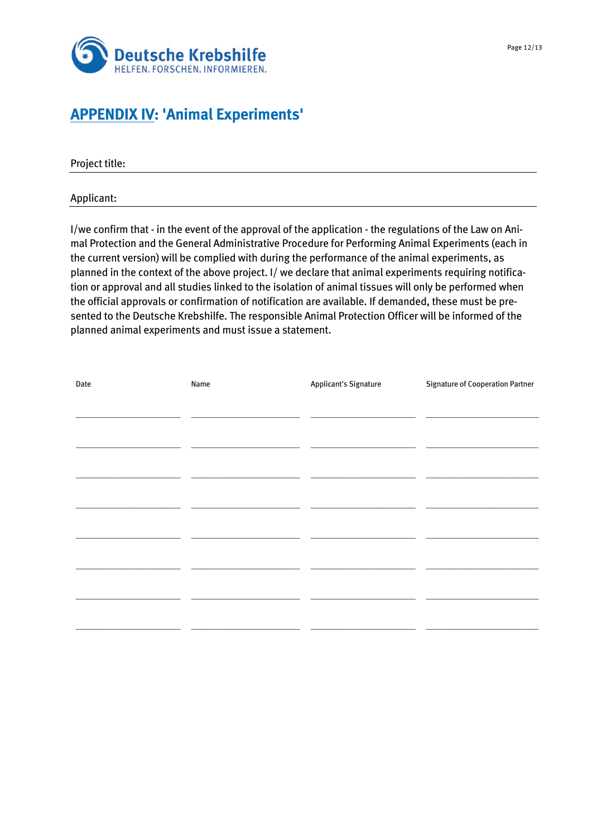

# **APPENDIX IV: 'Animal Experiments'**

Project title:

Applicant:

I/we confirm that - in the event of the approval of the application - the regulations of the Law on Animal Protection and the General Administrative Procedure for Performing Animal Experiments (each in the current version) will be complied with during the performance of the animal experiments, as planned in the context of the above project. I/ we declare that animal experiments requiring notification or approval and all studies linked to the isolation of animal tissues will only be performed when the official approvals or confirmation of notification are available. If demanded, these must be presented to the Deutsche Krebshilfe. The responsible Animal Protection Officer will be informed of the planned animal experiments and must issue a statement.

| Date | Name | <b>Applicant's Signature</b> | <b>Signature of Cooperation Partner</b> |
|------|------|------------------------------|-----------------------------------------|
|      |      |                              |                                         |
|      |      |                              |                                         |
|      |      |                              |                                         |
|      |      |                              |                                         |
|      |      |                              |                                         |
|      |      |                              |                                         |
|      |      |                              |                                         |
|      |      |                              |                                         |
|      |      |                              |                                         |
|      |      |                              |                                         |
|      |      |                              |                                         |